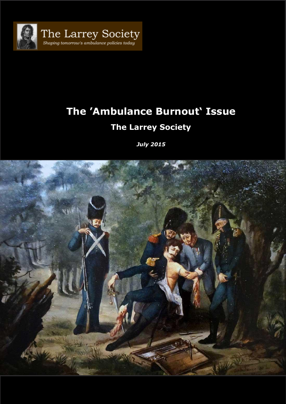

# **The 'Ambulance Burnout' Issue The Larrey Society**

*July 2015*

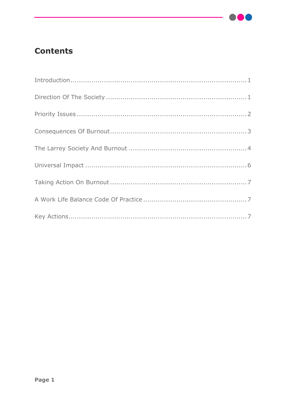

## **Contents**

| $\label{eq:introduction} \begin{minipage}[c]{0.9\linewidth} \begin{minipage}[c]{0.9\linewidth} \begin{minipage}[c]{0.9\linewidth} \begin{minipage}[c]{0.9\linewidth} \begin{minipage}[c]{0.9\linewidth} \end{minipage}[c]{0.9\linewidth} \begin{minipage}[c]{0.9\linewidth} \begin{minipage}[c]{0.9\linewidth} \end{minipage}[c]{0.9\linewidth} \end{minipage}[c]{0.9\linewidth} \begin{minipage}[c]{0.9\linewidth} \begin{minipage}[c]{0.9\linewidth} \end{minipage}[c]{0.9\linewidth} \begin{minipage}[c]{0.9\linewidth} \end$ |
|----------------------------------------------------------------------------------------------------------------------------------------------------------------------------------------------------------------------------------------------------------------------------------------------------------------------------------------------------------------------------------------------------------------------------------------------------------------------------------------------------------------------------------|
|                                                                                                                                                                                                                                                                                                                                                                                                                                                                                                                                  |
|                                                                                                                                                                                                                                                                                                                                                                                                                                                                                                                                  |
|                                                                                                                                                                                                                                                                                                                                                                                                                                                                                                                                  |
|                                                                                                                                                                                                                                                                                                                                                                                                                                                                                                                                  |
|                                                                                                                                                                                                                                                                                                                                                                                                                                                                                                                                  |
|                                                                                                                                                                                                                                                                                                                                                                                                                                                                                                                                  |
|                                                                                                                                                                                                                                                                                                                                                                                                                                                                                                                                  |
|                                                                                                                                                                                                                                                                                                                                                                                                                                                                                                                                  |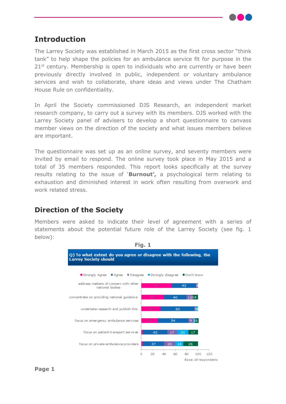

#### <span id="page-2-0"></span>**Introduction**

The Larrey Society was established in March 2015 as the first cross sector "think tank" to help shape the policies for an ambulance service fit for purpose in the  $21^{st}$  century. Membership is open to individuals who are currently or have been previously directly involved in public, independent or voluntary ambulance services and wish to collaborate, share ideas and views under The Chatham House Rule on confidentiality.

In April the Society commissioned DJS Research, an independent market research company, to carry out a survey with its members. DJS worked with the Larrey Society panel of advisers to develop a short questionnaire to canvass member views on the direction of the society and what issues members believe are important.

The questionnaire was set up as an online survey, and seventy members were invited by email to respond. The online survey took place in May 2015 and a total of 35 members responded. This report looks specifically at the survey results relating to the issue of '**Burnout',** a psychological term relating to exhaustion and diminished interest in work often resulting from overwork and work related stress.

#### <span id="page-2-1"></span>**Direction of the Society**

Members were asked to indicate their level of agreement with a series of statements about the potential future role of the Larrey Society (see fig. 1 below):



**Fig. 1**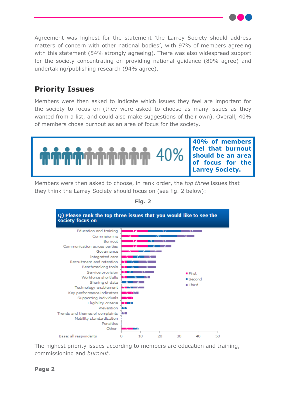Agreement was highest for the statement 'the Larrey Society should address matters of concern with other national bodies', with 97% of members agreeing with this statement (54% strongly agreeing). There was also widespread support for the society concentrating on providing national guidance (80% agree) and undertaking/publishing research (94% agree).

### <span id="page-3-0"></span>**Priority Issues**

Members were then asked to indicate which issues they feel are important for the society to focus on (they were asked to choose as many issues as they wanted from a list, and could also make suggestions of their own). Overall, 40% of members chose burnout as an area of focus for the society.



Members were then asked to choose, in rank order, the *top three* issues that they think the Larrey Society should focus on (see fig. 2 below):



**Fig. 2**

The highest priority issues according to members are education and training, commissioning and *burnout*.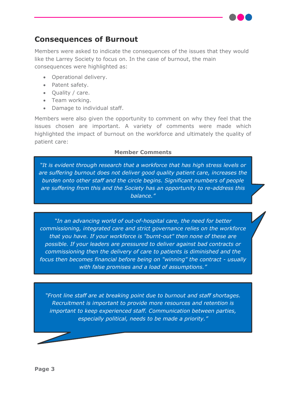#### <span id="page-4-0"></span>**Consequences of Burnout**

Members were asked to indicate the consequences of the issues that they would like the Larrey Society to focus on. In the case of burnout, the main consequences were highlighted as:

- Operational delivery.
- Patent safety.
- Ouality / care.
- Team working.
- Damage to individual staff.

Members were also given the opportunity to comment on why they feel that the issues chosen are important. A variety of comments were made which highlighted the impact of burnout on the workforce and ultimately the quality of patient care:

#### **Member Comments**

*"It is evident through research that a workforce that has high stress levels or are suffering burnout does not deliver good quality patient care, increases the burden onto other staff and the circle begins. Significant numbers of people are suffering from this and the Society has an opportunity to re-address this balance."*

*"In an advancing world of out-of-hospital care, the need for better commissioning, integrated care and strict governance relies on the workforce that you have. If your workforce is "burnt-out" then none of these are possible. If your leaders are pressured to deliver against bad contracts or commissioning then the delivery of care to patients is diminished and the focus then becomes financial before being on "winning" the contract - usually with false promises and a load of assumptions."*

*"Front line staff are at breaking point due to burnout and staff shortages. Recruitment is important to provide more resources and retention is important to keep experienced staff. Communication between parties, especially political, needs to be made a priority."*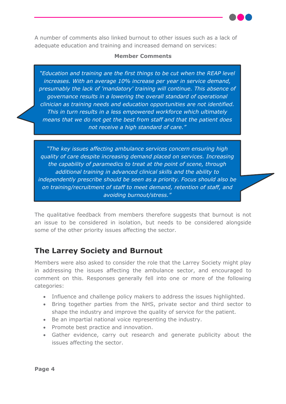A number of comments also linked burnout to other issues such as a lack of adequate education and training and increased demand on services:

#### **Member Comments**

*"Education and training are the first things to be cut when the REAP level increases. With an average 10% increase per year in service demand, presumably the lack of 'mandatory' training will continue. This absence of governance results in a lowering the overall standard of operational clinician as training needs and education opportunities are not identified. This in turn results in a less empowered workforce which ultimately means that we do not get the best from staff and that the patient does not receive a high standard of care."*

*"The key issues affecting ambulance services concern ensuring high quality of care despite increasing demand placed on services. Increasing the capability of paramedics to treat at the point of scene, through additional training in advanced clinical skills and the ability to independently prescribe should be seen as a priority. Focus should also be on training/recruitment of staff to meet demand, retention of staff, and avoiding burnout/stress."*

The qualitative feedback from members therefore suggests that burnout is not an issue to be considered in isolation, but needs to be considered alongside some of the other priority issues affecting the sector.

#### <span id="page-5-0"></span>**The Larrey Society and Burnout**

Members were also asked to consider the role that the Larrey Society might play in addressing the issues affecting the ambulance sector, and encouraged to comment on this. Responses generally fell into one or more of the following categories:

- Influence and challenge policy makers to address the issues highlighted.
- Bring together parties from the NHS, private sector and third sector to shape the industry and improve the quality of service for the patient.
- Be an impartial national voice representing the industry.
- Promote best practice and innovation.
- Gather evidence, carry out research and generate publicity about the issues affecting the sector.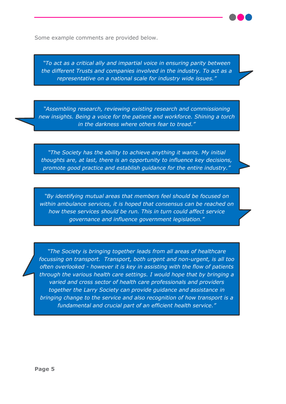Some example comments are provided below.

*"To act as a critical ally and impartial voice in ensuring parity between the different Trusts and companies involved in the industry. To act as a representative on a national scale for industry wide issues."*

*"Assembling research, reviewing existing research and commissioning new insights. Being a voice for the patient and workforce. Shining a torch in the darkness where others fear to tread."*

*"The Society has the ability to achieve anything it wants. My initial thoughts are, at last, there is an opportunity to influence key decisions, promote good practice and establish guidance for the entire industry."*

*"By identifying mutual areas that members feel should be focused on within ambulance services, it is hoped that consensus can be reached on how these services should be run. This in turn could affect service governance and influence government legislation."*

*"The Society is bringing together leads from all areas of healthcare focussing on transport. Transport, both urgent and non-urgent, is all too often overlooked - however it is key in assisting with the flow of patients through the various health care settings. I would hope that by bringing a varied and cross sector of health care professionals and providers together the Larry Society can provide guidance and assistance in bringing change to the service and also recognition of how transport is a fundamental and crucial part of an efficient health service."*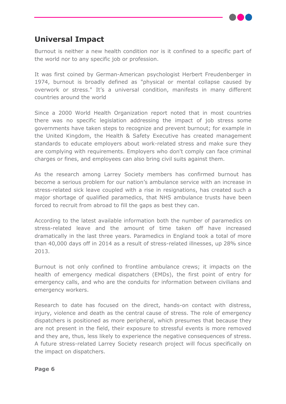#### <span id="page-7-0"></span>**Universal Impact**

Burnout is neither a new health condition nor is it confined to a specific part of the world nor to any specific job or profession.

It was first coined by German-American psychologist Herbert Freudenberger in 1974, burnout is broadly defined as ["physical](http://oxforddictionaries.com/us/definition/american_english/burnout) or mental collapse caused by [overwork](http://oxforddictionaries.com/us/definition/american_english/burnout) or stress." It's a universal condition, manifests in many different countries around the world

Since a 2000 World Health Organization report noted that in most countries there was no specific legislation addressing the impact of job stress some governments have taken steps to recognize and prevent burnout; for example in the United Kingdom, the Health & Safety Executive has created management standards to educate employers about work-related stress and make sure they are complying with requirements. Employers who don't comply can face criminal charges or fines, and employees can also bring civil suits against them.

As the research among Larrey Society members has confirmed burnout has become a serious problem for our nation's ambulance service with an increase in stress-related sick leave coupled with a rise in resignations, has created such a major shortage of qualified paramedics, that NHS ambulance trusts have been forced to recruit from abroad to fill the gaps as best they can.

According to the latest available information both the number of paramedics on stress-related leave and the amount of time taken off have increased dramatically in the last three years. Paramedics in England took a total of more than 40,000 days off in 2014 as a result of stress-related illnesses, up 28% since 2013.

Burnout is not only confined to frontline ambulance crews; it impacts on the health of emergency medical dispatchers (EMDs), the first point of entry for emergency calls, and who are the conduits for information between civilians and emergency workers.

Research to date has focused on the direct, hands-on contact with distress, injury, violence and death as the central cause of stress. The role of emergency dispatchers is positioned as more peripheral, which presumes that because they are not present in the field, their exposure to stressful events is more removed and they are, thus, less likely to experience the negative consequences of stress. A future stress-related Larrey Society research project will focus specifically on the impact on dispatchers.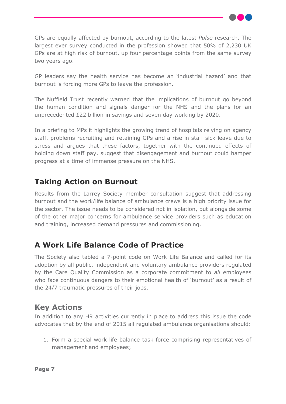GPs are equally affected by burnout, according to the latest *Pulse* research. The largest ever survey conducted in the profession showed that 50% of 2,230 UK GPs are at high risk of burnout, up four percentage points from the same survey two years ago.

GP leaders say the health service has become an 'industrial hazard' and that burnout is forcing more GPs to leave the profession.

The Nuffield Trust recently warned that the implications of burnout go beyond the human condition and signals danger for the NHS and the plans for an unprecedented £22 billion in savings and seven day working by 2020.

In a briefing to MPs it highlights the growing trend of hospitals relying on agency staff, problems recruiting and retaining GPs and a rise in staff sick leave due to stress and argues that these factors, together with the continued effects of holding down staff pay, suggest that disengagement and burnout could hamper progress at a time of immense pressure on the NHS.

#### <span id="page-8-0"></span>**Taking Action on Burnout**

Results from the Larrey Society member consultation suggest that addressing burnout and the work/life balance of ambulance crews is a high priority issue for the sector. The issue needs to be considered not in isolation, but alongside some of the other major concerns for ambulance service providers such as education and training, increased demand pressures and commissioning.

### <span id="page-8-1"></span>**A Work Life Balance Code of Practice**

The Society also tabled a 7-point code on Work Life Balance and called for its adoption by all public, independent and voluntary ambulance providers regulated by the Care Quality Commission as a corporate commitment to *all* employees who face continuous dangers to their emotional health of 'burnout' as a result of the 24/7 traumatic pressures of their jobs.

#### <span id="page-8-2"></span>**Key Actions**

In addition to any HR activities currently in place to address this issue the code advocates that by the end of 2015 all regulated ambulance organisations should:

1. Form a special work life balance task force comprising representatives of management and employees;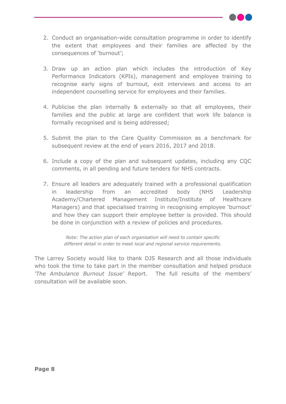

- 2. Conduct an organisation-wide consultation programme in order to identify the extent that employees and their families are affected by the consequences of 'burnout';
- 3. Draw up an action plan which includes the introduction of Key Performance Indicators (KPIs), management and employee training to recognise early signs of burnout, exit interviews and access to an independent counselling service for employees and their families.
- 4. Publicise the plan internally & externally so that all employees, their families and the public at large are confident that work life balance is formally recognised and is being addressed;
- 5. Submit the plan to the Care Quality Commission as a benchmark for subsequent review at the end of years 2016, 2017 and 2018.
- 6. Include a copy of the plan and subsequent updates, including any CQC comments, in all pending and future tenders for NHS contracts.
- 7. Ensure all leaders are adequately trained with a professional qualification in leadership from an accredited body (NHS Leadership Academy/Chartered Management Institute/Institute of Healthcare Managers) and that specialised training in recognising employee 'burnout' and how they can support their employee better is provided. This should be done in conjunction with a review of policies and procedures.

*Note: The action plan of each organisation will need to contain specific different detail in order to meet local and regional service requirements.*

The Larrey Society would like to thank DJS Research and all those individuals who took the time to take part in the member consultation and helped produce *'The Ambulance Burnout Issue'* Report. The full results of the members' consultation will be available soon.